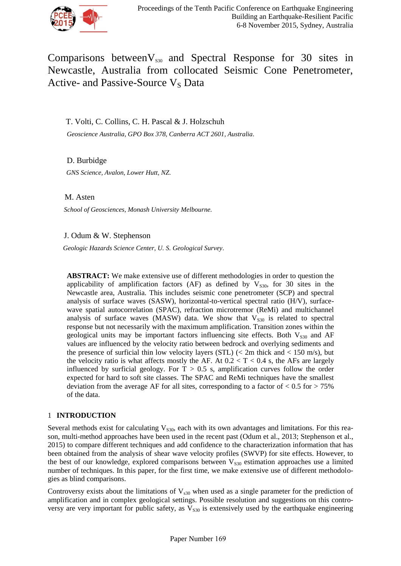

Comparisons between $V_{0,30}$  and Spectral Response for 30 sites in Newcastle, Australia from collocated Seismic Cone Penetrometer, Active- and Passive-Source  $V_S$  Data

T. Volti, C. Collins, C. H. Pascal & J. Holzschuh

*Geoscience Australia, GPO Box 378, Canberra ACT 2601, Australia.*

D. Burbidge *GNS Science, Avalon, Lower Hutt, NZ.*

M. Asten

 *School of Geosciences, Monash University Melbourne.*

J. Odum & W. Stephenson

 *Geologic Hazards Science Center, U. S. Geological Survey.*

**ABSTRACT:** We make extensive use of different methodologies in order to question the applicability of amplification factors (AF) as defined by  $V_{s30}$ , for 30 sites in the Newcastle area, Australia. This includes seismic cone penetrometer (SCP) and spectral analysis of surface waves (SASW), horizontal-to-vertical spectral ratio (H/V), surfacewave spatial autocorrelation (SPAC), refraction microtremor (ReMi) and multichannel analysis of surface waves (MASW) data. We show that  $V_{S30}$  is related to spectral response but not necessarily with the maximum amplification. Transition zones within the geological units may be important factors influencing site effects. Both  $V_{\rm S30}$  and AF values are influenced by the velocity ratio between bedrock and overlying sediments and the presence of surficial thin low velocity layers (STL)  $\ll$  2m thick and  $\lt$  150 m/s), but the velocity ratio is what affects mostly the AF. At  $0.2 < T < 0.4$  s, the AFs are largely influenced by surficial geology. For  $T > 0.5$  s, amplification curves follow the order expected for hard to soft site classes. The SPAC and ReMi techniques have the smallest deviation from the average AF for all sites, corresponding to a factor of  $< 0.5$  for  $> 75\%$ of the data.

# 1 **INTRODUCTION**

Several methods exist for calculating  $V<sub>S30</sub>$ , each with its own advantages and limitations. For this reason, multi-method approaches have been used in the recent past (Odum et al., 2013; Stephenson et al., 2015) to compare different techniques and add confidence to the characterization information that has been obtained from the analysis of shear wave velocity profiles (SWVP) for site effects. However, to the best of our knowledge, explored comparisons between  $V_{S30}$  estimation approaches use a limited number of techniques. In this paper, for the first time, we make extensive use of different methodologies as blind comparisons.

Controversy exists about the limitations of  $V_{s30}$  when used as a single parameter for the prediction of amplification and in complex geological settings. Possible resolution and suggestions on this controversy are very important for public safety, as  $V<sub>S30</sub>$  is extensively used by the earthquake engineering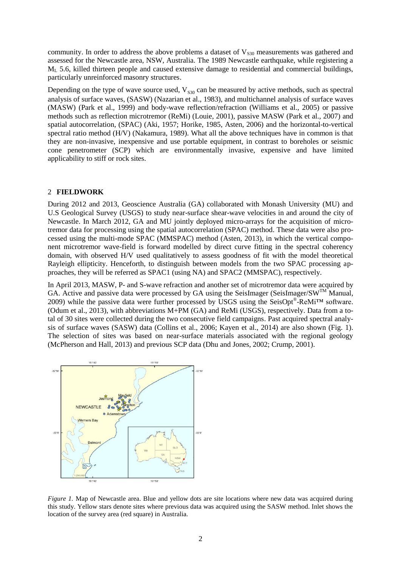community. In order to address the above problems a dataset of  $V<sub>S30</sub>$  measurements was gathered and assessed for the Newcastle area, NSW, Australia. The 1989 Newcastle earthquake, while registering a M<sup>L</sup> 5.6, killed thirteen people and caused extensive damage to residential and commercial buildings, particularly unreinforced masonry structures.

Depending on the type of wave source used,  $V_{S30}$  can be measured by active methods, such as spectral analysis of surface waves, (SASW) (Nazarian et al., 1983), and multichannel analysis of surface waves (MASW) (Park et al., 1999) and body-wave reflection/refraction (Williams et al., 2005) or passive methods such as reflection microtremor (ReMi) (Louie, 2001), passive MASW (Park et al., 2007) and spatial autocorrelation, (SPAC) (Aki, 1957; Horike, 1985, Asten, 2006) and the horizontal-to-vertical spectral ratio method (H/V) (Nakamura, 1989). What all the above techniques have in common is that they are non-invasive, inexpensive and use portable equipment, in contrast to boreholes or seismic cone penetrometer (SCP) which are environmentally invasive, expensive and have limited applicability to stiff or rock sites.

## 2 **FIELDWORK**

During 2012 and 2013, Geoscience Australia (GA) collaborated with Monash University (MU) and U.S Geological Survey (USGS) to study near-surface shear-wave velocities in and around the city of Newcastle. In March 2012, GA and MU jointly deployed micro-arrays for the acquisition of microtremor data for processing using the spatial autocorrelation (SPAC) method. These data were also processed using the multi-mode SPAC (MMSPAC) method (Asten, 2013), in which the vertical component microtremor wave-field is forward modelled by direct curve fitting in the spectral coherency domain, with observed H/V used qualitatively to assess goodness of fit with the model theoretical Rayleigh ellipticity. Henceforth, to distinguish between models from the two SPAC processing approaches, they will be referred as SPAC1 (using NA) and SPAC2 (MMSPAC), respectively.

In April 2013, MASW, P- and S-wave refraction and another set of microtremor data were acquired by GA. Active and passive data were processed by GA using the SeisImager (SeisImager/SWTM Manual, 2009) while the passive data were further processed by USGS using the SeisOpt®-ReMi<sup>™</sup> software. (Odum et al., 2013), with abbreviations M+PM (GA) and ReMi (USGS), respectively. Data from a total of 30 sites were collected during the two consecutive field campaigns. Past acquired spectral analysis of surface waves (SASW) data (Collins et al., 2006; Kayen et al., 2014) are also shown (Fig. 1). The selection of sites was based on near-surface materials associated with the regional geology (McPherson and Hall, 2013) and previous SCP data (Dhu and Jones, 2002; Crump, 2001).



*Figure 1.* Map of Newcastle area. Blue and yellow dots are site locations where new data was acquired during this study. Yellow stars denote sites where previous data was acquired using the SASW method. Inlet shows the location of the survey area (red square) in Australia.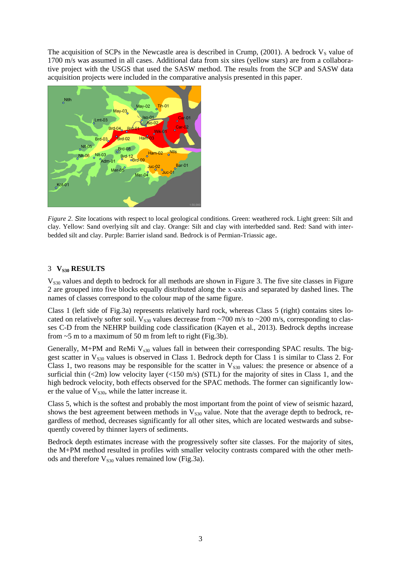The acquisition of SCPs in the Newcastle area is described in Crump,  $(2001)$ . A bedrock  $V_s$  value of 1700 m/s was assumed in all cases. Additional data from six sites (yellow stars) are from a collaborative project with the USGS that used the SASW method. The results from the SCP and SASW data acquisition projects were included in the comparative analysis presented in this paper.



*Figure 2. S*ite locations with respect to local geological conditions. Green: weathered rock. Light green: Silt and clay. Yellow: Sand overlying silt and clay. Orange: Silt and clay with interbedded sand. Red: Sand with interbedded silt and clay. Purple: Barrier island sand. Bedrock is of Permian-Triassic age.

## 3 **VS30 RESULTS**

 $V<sub>S30</sub>$  values and depth to bedrock for all methods are shown in Figure 3. The five site classes in Figure 2 are grouped into five blocks equally distributed along the x-axis and separated by dashed lines. The names of classes correspond to the colour map of the same figure.

Class 1 (left side of Fig.3a) represents relatively hard rock, whereas Class 5 (right) contains sites located on relatively softer soil.  $V_{S30}$  values decrease from ~700 m/s to ~200 m/s, corresponding to classes C-D from the NEHRP building code classification (Kayen et al., 2013). Bedrock depths increase from  $\sim$  5 m to a maximum of 50 m from left to right (Fig.3b).

Generally, M+PM and ReMi  $V<sub>s30</sub>$  values fall in between their corresponding SPAC results. The biggest scatter in  $V<sub>S30</sub>$  values is observed in Class 1. Bedrock depth for Class 1 is similar to Class 2. For Class 1, two reasons may be responsible for the scatter in  $V_{s30}$  values: the presence or absence of a surficial thin  $(\leq 2m)$  low velocity layer  $(\leq 150 \text{ m/s})$  (STL) for the majority of sites in Class 1, and the high bedrock velocity, both effects observed for the SPAC methods. The former can significantly lower the value of  $V<sub>S30</sub>$ , while the latter increase it.

Class 5, which is the softest and probably the most important from the point of view of seismic hazard, shows the best agreement between methods in  $V_{S30}$  value. Note that the average depth to bedrock, regardless of method, decreases significantly for all other sites, which are located westwards and subsequently covered by thinner layers of sediments.

Bedrock depth estimates increase with the progressively softer site classes. For the majority of sites, the M+PM method resulted in profiles with smaller velocity contrasts compared with the other methods and therefore  $V<sub>S30</sub>$  values remained low (Fig.3a).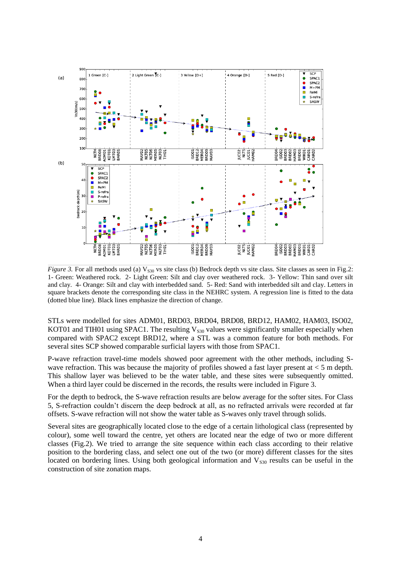

*Figure 3.* For all methods used (a)  $V_{\text{S30}}$  vs site class (b) Bedrock depth vs site class. Site classes as seen in Fig.2: 1- Green: Weathered rock. 2- Light Green: Silt and clay over weathered rock. 3- Yellow: Thin sand over silt and clay. 4- Orange: Silt and clay with interbedded sand. 5- Red: Sand with interbedded silt and clay. Letters in square brackets denote the corresponding site class in the NEHRC system. A regression line is fitted to the data (dotted blue line). Black lines emphasize the direction of change.

STLs were modelled for sites ADM01, BRD03, BRD04, BRD08, BRD12, HAM02, HAM03, ISO02, KOT01 and TIH01 using SPAC1. The resulting  $V_{S30}$  values were significantly smaller especially when compared with SPAC2 except BRD12, where a STL was a common feature for both methods. For several sites SCP showed comparable surficial layers with those from SPAC1.

P-wave refraction travel-time models showed poor agreement with the other methods, including Swave refraction. This was because the majority of profiles showed a fast layer present at  $\lt 5$  m depth. This shallow layer was believed to be the water table, and these sites were subsequently omitted. When a third layer could be discerned in the records, the results were included in Figure 3.

For the depth to bedrock, the S-wave refraction results are below average for the softer sites. For Class 5, S-refraction couldn't discern the deep bedrock at all, as no refracted arrivals were recorded at far offsets. S-wave refraction will not show the water table as S-waves only travel through solids.

Several sites are geographically located close to the edge of a certain lithological class (represented by colour), some well toward the centre, yet others are located near the edge of two or more different classes (Fig.2). We tried to arrange the site sequence within each class according to their relative position to the bordering class, and select one out of the two (or more) different classes for the sites located on bordering lines. Using both geological information and  $V<sub>830</sub>$  results can be useful in the construction of site zonation maps.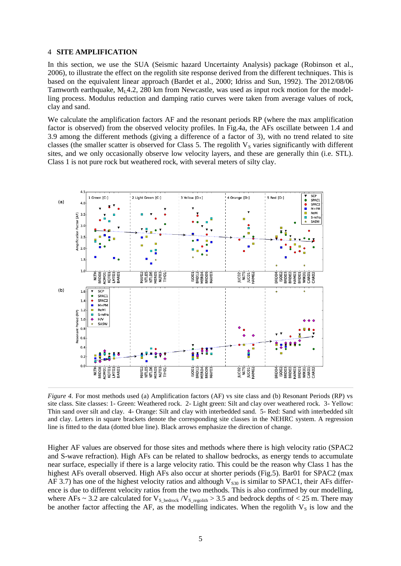#### 4 **SITE AMPLIFICATION**

In this section, we use the SUA (Seismic hazard Uncertainty Analysis) package (Robinson et al., 2006), to illustrate the effect on the regolith site response derived from the different techniques. This is based on the equivalent linear approach (Bardet et al., 2000; Idriss and Sun, 1992). The 2012/08/06 Tamworth earthquake,  $M<sub>L</sub>4.2$ , 280 km from Newcastle, was used as input rock motion for the modelling process. Modulus reduction and damping ratio curves were taken from average values of rock, clay and sand.

We calculate the amplification factors AF and the resonant periods RP (where the max amplification factor is observed) from the observed velocity profiles. In Fig.4a, the AFs oscillate between 1.4 and 3.9 among the different methods (giving a difference of a factor of 3), with no trend related to site classes (the smaller scatter is observed for Class 5. The regolith  $V_s$  varies significantly with different sites, and we only occasionally observe low velocity layers, and these are generally thin (i.e. STL). Class 1 is not pure rock but weathered rock, with several meters of silty clay.



*Figure 4.* For most methods used (a) Amplification factors (AF) vs site class and (b) Resonant Periods (RP) vs site class. Site classes: 1- Green: Weathered rock. 2- Light green: Silt and clay over weathered rock. 3- Yellow: Thin sand over silt and clay. 4- Orange: Silt and clay with interbedded sand. 5- Red: Sand with interbedded silt and clay. Letters in square brackets denote the corresponding site classes in the NEHRC system. A regression line is fitted to the data (dotted blue line). Black arrows emphasize the direction of change.

Higher AF values are observed for those sites and methods where there is high velocity ratio (SPAC2 and S-wave refraction). High AFs can be related to shallow bedrocks, as energy tends to accumulate near surface, especially if there is a large velocity ratio. This could be the reason why Class 1 has the highest AFs overall observed. High AFs also occur at shorter periods (Fig.5). Bar01 for SPAC2 (max AF 3.7) has one of the highest velocity ratios and although  $V_{S30}$  is similar to SPAC1, their AFs difference is due to different velocity ratios from the two methods. This is also confirmed by our modelling, where AFs ~ 3.2 are calculated for  $V_{S_{\text{bedrock}}} / V_{S_{\text{regolith}}} > 3.5$  and bedrock depths of < 25 m. There may be another factor affecting the AF, as the modelling indicates. When the regolith  $V_s$  is low and the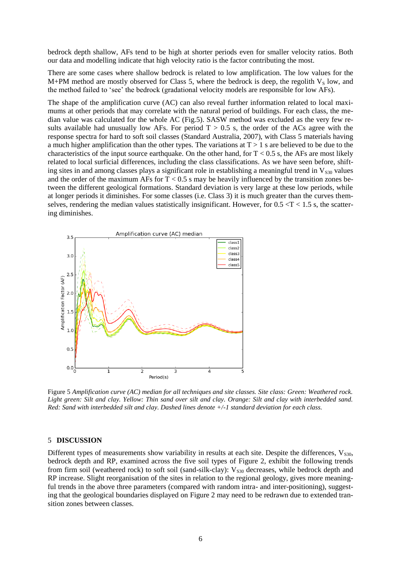bedrock depth shallow, AFs tend to be high at shorter periods even for smaller velocity ratios. Both our data and modelling indicate that high velocity ratio is the factor contributing the most.

There are some cases where shallow bedrock is related to low amplification. The low values for the M+PM method are mostly observed for Class 5, where the bedrock is deep, the regolith  $V_s$  low, and the method failed to 'see' the bedrock (gradational velocity models are responsible for low AFs).

The shape of the amplification curve (AC) can also reveal further information related to local maximums at other periods that may correlate with the natural period of buildings. For each class, the median value was calculated for the whole AC (Fig.5). SASW method was excluded as the very few results available had unusually low AFs. For period  $T > 0.5$  s, the order of the ACs agree with the response spectra for hard to soft soil classes (Standard Australia, 2007), with Class 5 materials having a much higher amplification than the other types. The variations at  $T > 1$  s are believed to be due to the characteristics of the input source earthquake. On the other hand, for  $T < 0.5$  s, the AFs are most likely related to local surficial differences, including the class classifications. As we have seen before, shifting sites in and among classes plays a significant role in establishing a meaningful trend in  $V_{S30}$  values and the order of the maximum AFs for  $T < 0.5$  s may be heavily influenced by the transition zones between the different geological formations. Standard deviation is very large at these low periods, while at longer periods it diminishes. For some classes (i.e. Class 3) it is much greater than the curves themselves, rendering the median values statistically insignificant. However, for  $0.5 < T < 1.5$  s, the scattering diminishes.



Figure 5 *Amplification curve (AC) median for all techniques and site classes. Site class: Green: Weathered rock. Light green: Silt and clay. Yellow: Thin sand over silt and clay. Orange: Silt and clay with interbedded sand. Red: Sand with interbedded silt and clay. Dashed lines denote +/-1 standard deviation for each class.*

### 5 **DISCUSSION**

Different types of measurements show variability in results at each site. Despite the differences,  $V_{s30}$ , bedrock depth and RP, examined across the five soil types of Figure 2, exhibit the following trends from firm soil (weathered rock) to soft soil (sand-silk-clay):  $V_{s30}$  decreases, while bedrock depth and RP increase. Slight reorganisation of the sites in relation to the regional geology, gives more meaningful trends in the above three parameters (compared with random intra- and inter-positioning), suggesting that the geological boundaries displayed on Figure 2 may need to be redrawn due to extended transition zones between classes.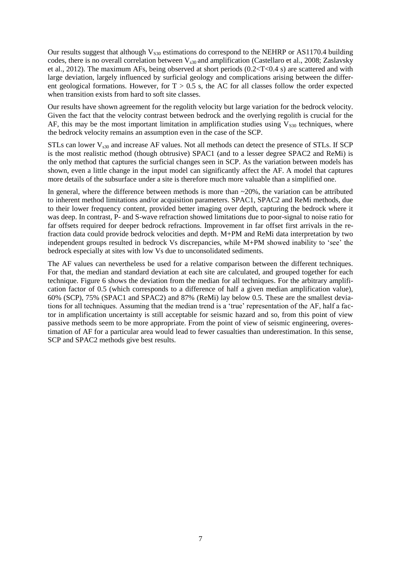Our results suggest that although  $V_{S30}$  estimations do correspond to the NEHRP or AS1170.4 building codes, there is no overall correlation between  $V_{s30}$  and amplification (Castellaro et al., 2008; Zaslavsky et al., 2012). The maximum AFs, being observed at short periods (0.2<T<0.4 s) are scattered and with large deviation, largely influenced by surficial geology and complications arising between the different geological formations. However, for  $T > 0.5$  s, the AC for all classes follow the order expected when transition exists from hard to soft site classes.

Our results have shown agreement for the regolith velocity but large variation for the bedrock velocity. Given the fact that the velocity contrast between bedrock and the overlying regolith is crucial for the AF, this may be the most important limitation in amplification studies using  $V<sub>S30</sub>$  techniques, where the bedrock velocity remains an assumption even in the case of the SCP.

STLs can lower  $V_{s30}$  and increase AF values. Not all methods can detect the presence of STLs. If SCP is the most realistic method (though obtrusive) SPAC1 (and to a lesser degree SPAC2 and ReMi) is the only method that captures the surficial changes seen in SCP. As the variation between models has shown, even a little change in the input model can significantly affect the AF. A model that captures more details of the subsurface under a site is therefore much more valuable than a simplified one.

In general, where the difference between methods is more than  $\sim$ 20%, the variation can be attributed to inherent method limitations and/or acquisition parameters. SPAC1, SPAC2 and ReMi methods, due to their lower frequency content, provided better imaging over depth, capturing the bedrock where it was deep. In contrast, P- and S-wave refraction showed limitations due to poor-signal to noise ratio for far offsets required for deeper bedrock refractions. Improvement in far offset first arrivals in the refraction data could provide bedrock velocities and depth. M+PM and ReMi data interpretation by two independent groups resulted in bedrock Vs discrepancies, while M+PM showed inability to 'see' the bedrock especially at sites with low Vs due to unconsolidated sediments.

The AF values can nevertheless be used for a relative comparison between the different techniques. For that, the median and standard deviation at each site are calculated, and grouped together for each technique. Figure 6 shows the deviation from the median for all techniques. For the arbitrary amplification factor of 0.5 (which corresponds to a difference of half a given median amplification value), 60% (SCP), 75% (SPAC1 and SPAC2) and 87% (ReMi) lay below 0.5. These are the smallest deviations for all techniques. Assuming that the median trend is a 'true' representation of the AF, half a factor in amplification uncertainty is still acceptable for seismic hazard and so, from this point of view passive methods seem to be more appropriate. From the point of view of seismic engineering, overestimation of AF for a particular area would lead to fewer casualties than underestimation. In this sense, SCP and SPAC2 methods give best results.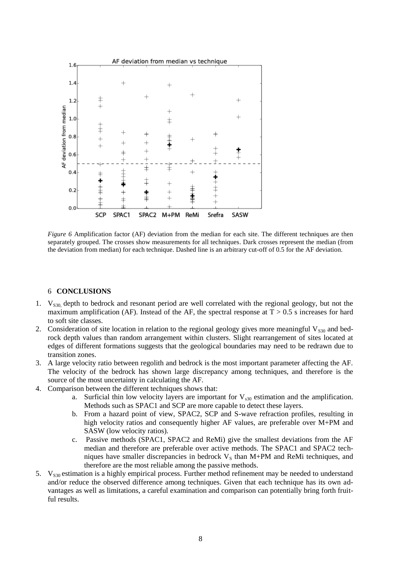

*Figure 6* Amplification factor (AF) deviation from the median for each site. The different techniques are then separately grouped. The crosses show measurements for all techniques. Dark crosses represent the median (from the deviation from median) for each technique. Dashed line is an arbitrary cut-off of 0.5 for the AF deviation.

#### 6 **CONCLUSIONS**

- 1. V<sub>S30</sub>, depth to bedrock and resonant period are well correlated with the regional geology, but not the maximum amplification (AF). Instead of the AF, the spectral response at  $T > 0.5$  s increases for hard to soft site classes.
- 2. Consideration of site location in relation to the regional geology gives more meaningful  $V_{S30}$  and bedrock depth values than random arrangement within clusters. Slight rearrangement of sites located at edges of different formations suggests that the geological boundaries may need to be redrawn due to transition zones.
- 3. A large velocity ratio between regolith and bedrock is the most important parameter affecting the AF. The velocity of the bedrock has shown large discrepancy among techniques, and therefore is the source of the most uncertainty in calculating the AF.
- 4. Comparison between the different techniques shows that:
	- a. Surficial thin low velocity layers are important for  $V_{s30}$  estimation and the amplification. Methods such as SPAC1 and SCP are more capable to detect these layers.
	- b. From a hazard point of view, SPAC2, SCP and S-wave refraction profiles, resulting in high velocity ratios and consequently higher AF values, are preferable over M+PM and SASW (low velocity ratios).
	- c. Passive methods (SPAC1, SPAC2 and ReMi) give the smallest deviations from the AF median and therefore are preferable over active methods. The SPAC1 and SPAC2 techniques have smaller discrepancies in bedrock  $V<sub>S</sub>$  than M+PM and ReMi techniques, and therefore are the most reliable among the passive methods.
- 5.  $V_{S30}$  estimation is a highly empirical process. Further method refinement may be needed to understand and/or reduce the observed difference among techniques. Given that each technique has its own advantages as well as limitations, a careful examination and comparison can potentially bring forth fruitful results.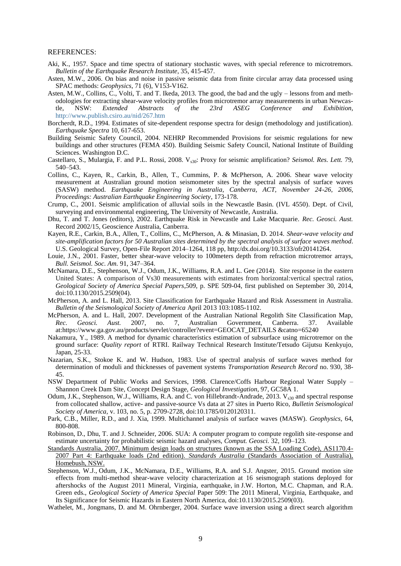#### REFERENCES:

- Aki, K., 1957. Space and time spectra of stationary stochastic waves, with special reference to microtremors. *Bulletin of the Earthquake Research Institute*, 35, 415-457.
- Asten, M.W., 2006. On bias and noise in passive seismic data from finite circular array data processed using SPAC methods: *Geophysics*, 71 (6), V153-V162.
- Asten, M.W., Collins, C., Volti, T. and T. Ikeda, 2013. The good, the bad and the ugly lessons from and methodologies for extracting shear-wave velocity profiles from microtremor array measurements in urban Newcas-<br>tle, NSW: Extended Abstracts of the 23rd ASEG Conference and Exhibition, tle, NSW: *Extended Abstracts of the 23rd ASEG Conference and Exhibition,* <http://www.publish.csiro.au/nid/267.htm>
- Borcherdt, R.D., 1994. Estimates of site-dependent response spectra for design (methodology and justification). *Earthquake Spectra* 10, 617-653.
- Building Seismic Safety Council, 2004. NEHRP Recommended Provisions for seismic regulations for new buildings and other structures (FEMA 450). Building Seismic Safety Council, National Institute of Building Sciences. Washington D.C.
- Castellaro, S., Mulargia, F. and P.L. Rossi, 2008. V<sub>s30</sub>: Proxy for seismic amplification? *Seismol. Res. Lett.* 79, 540–543.
- Collins, C., Kayen, R., Carkin, B., Allen, T., Cummins, P. & McPherson, A. 2006. Shear wave velocity measurement at Australian ground motion seismometer sites by the spectral analysis of surface waves (SASW) method. *Earthquake Engineering in Australia, Canberra, ACT, November 24-26, 2006, Proceedings: Australian Earthquake Engineering Society*, 173-178.
- Crump, C., 2001. Seismic amplification of alluvial soils in the Newcastle Basin. (IVL 4550). Dept. of Civil, surveying and environmental engineering, The University of Newcastle, Australia.
- Dhu, T. and T. Jones (editors), 2002. Earthquake Risk in Newcastle and Lake Macquarie. *Rec. Geosci. Aust.* Record 2002/15, Geoscience Australia, Canberra.
- Kayen, R.E., Carkin, B.A., Allen, T., Collins, C., McPherson, A. & Minasian, D. 2014. *Shear-wave velocity and site-amplification factors for 50 Australian sites determined by the spectral analysis of surface waves method*. U.S. Geological Survey, Open-File Report 2014–1264, 118 pp, http:/dx.doi.org/10.3133/ofr20141264.
- Louie, J.N., 2001. Faster, better shear-wave velocity to 100meters depth from refraction microtremor arrays, *Bull. Seismol. Soc. Am.* 91, 347–364.
- McNamara, D.E., Stephenson, W.J., Odum, J.K., Williams, R.A. and L. Gee (2014). Site response in the eastern United States: A comparison of Vs30 measurements with estimates from horizontal:vertical spectral ratios, *Geological Society of America Special Papers*,509, p. SPE 509-04, first published on September 30, 2014, doi:10.1130/2015.2509(04).
- McPherson, A. and L. Hall, 2013. Site Classification for Earthquake Hazard and Risk Assessment in Australia. *Bulletin of the Seismological Society of America* April 2013 103:1085-1102.
- McPherson, A. and L. Hall, 2007. Development of the Australian National Regolith Site Classification Map,<br>Rec. Geosci. Aust. 2007. no. 7. Australian Government. Canberra. 37. Available *Rec. Geosci. Aust.* 2007, no. 7, Australian Government, Canberra. 37. Available at:https://www.ga.gov.au/products/servlet/controller?event=GEOCAT\_DETAILS &catno=65240
- Nakamura, Y., 1989. A method for dynamic characteristics estimation of subsurface using microtremor on the ground surface: *Quality report* of RTRI. Railway Technical Research Institute/Tetsudo Gijutsu Kenkyujo, Japan, 25-33.
- Nazarian, S.K., Stokoe K. and W. Hudson, 1983. Use of spectral analysis of surface waves method for determination of moduli and thicknesses of pavement systems *Transportation Research Record* no. 930, 38- 45.
- NSW Department of Public Works and Services, 1998. Clarence/Coffs Harbour Regional Water Supply Shannon Creek Dam Site, Concept Design Stage, *Geological Investigation*, 97, GC58A 1.
- Odum, J.K., Stephenson, W.J., Williams, R.A. and C. von Hillebrandt-Andrade, 2013.  $V_{s30}$  and spectral response from collocated shallow, active- and passive-source Vs data at 27 sites in Puerto Rico, *Bulletin Seismological Society of America,* v. 103, no. 5, p. 2709-2728, doi:10.1785/0120120311.
- Park, C.B., Miller, R.D., and J. Xia, 1999. Multichannel analysis of surface waves (MASW). *Geophysics,* 64, 800-808.
- Robinson, D., Dhu, T. and J. Schneider, 2006. SUA: A computer program to compute regolith site-response and estimate uncertainty for probabilistic seismic hazard analyses, *Comput. Geosci.* 32, 109–123.
- Standards Australia, 2007. Minimum design loads on structures (known as the SSA Loading Code), AS1170.4- 2007 Part 4: Earthquake loads (2nd edition). *Standards Australia* (Standards Association of Australia), Homebush, NSW.
- Stephenson, W.J., Odum, J.K., McNamara, D.E., Williams, R.A. and S.J. Angster, 2015. Ground motion site effects from multi-method shear-wave velocity characterization at 16 seismograph stations deployed for aftershocks of the August 2011 Mineral, Virginia, earthquake, in J.W. Horton, M.C. Chapman, and R.A. Green eds., *Geological Society of America Special* Paper 509: The 2011 Mineral, Virginia, Earthquake, and Its Significance for Seismic Hazards in Eastern North America, doi:10.1130/2015.2509(03).
- Wathelet, M., Jongmans, D. and M. Ohrnberger, 2004. Surface wave inversion using a direct search algorithm